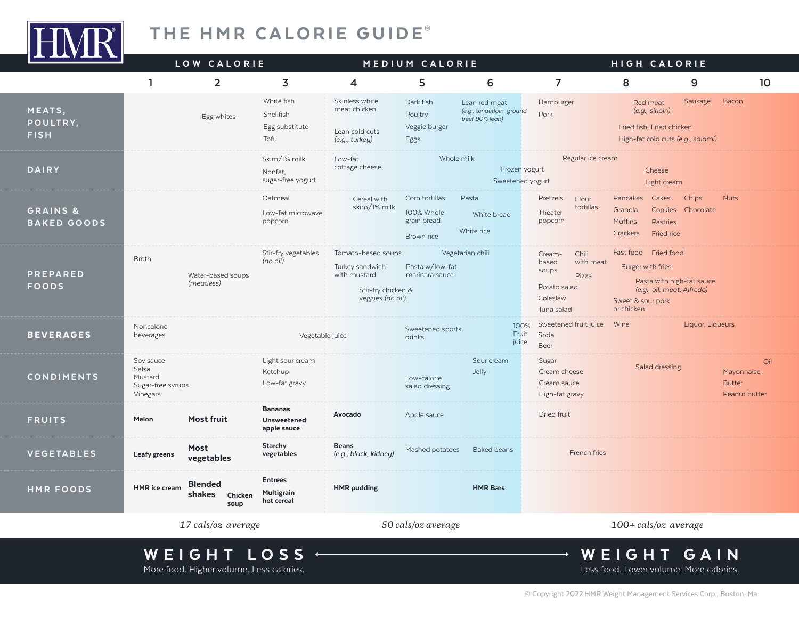

## THE HMR CALORIE GUIDE®

| $\overline{\phantom{a}}$                  | LOW CALORIE                                                         |                                                     | MEDIUM CALORIE                                                                                  |                                                           |                                                              | HIGH CALORIE                                                                                      |                                                                                                                                         |                  |                                                     |
|-------------------------------------------|---------------------------------------------------------------------|-----------------------------------------------------|-------------------------------------------------------------------------------------------------|-----------------------------------------------------------|--------------------------------------------------------------|---------------------------------------------------------------------------------------------------|-----------------------------------------------------------------------------------------------------------------------------------------|------------------|-----------------------------------------------------|
|                                           | $\overline{2}$<br>ı                                                 | 3                                                   | 4                                                                                               | 5                                                         | 6                                                            | 7                                                                                                 | 8                                                                                                                                       | 9                | 10                                                  |
| MEATS,<br>POULTRY,<br><b>FISH</b>         | Egg whites                                                          | White fish<br>Shellfish<br>Egg substitute<br>Tofu   | Skinless white<br>meat chicken<br>Lean cold cuts<br>(e.g., turkey)                              | Dark fish<br>Poultry<br>Veggie burger<br>Eggs             | Lean red meat<br>(e.g., tenderloin, ground<br>beef 90% lean) | Hamburger<br>Pork                                                                                 | Red meat<br>(e.g., sirloin)<br>Fried fish, Fried chicken<br>High-fat cold cuts (e.g., salami)                                           | Sausage          | Bacon                                               |
| <b>DAIRY</b>                              |                                                                     | Skim/1% milk<br>Nonfat,<br>sugar-free yogurt        | Low-fat<br>cottage cheese                                                                       |                                                           | Whole milk<br>Frozen yogurt<br>Sweetened yogurt              | Regular ice cream                                                                                 | Cheese<br>Light cream                                                                                                                   |                  |                                                     |
| <b>GRAINS &amp;</b><br><b>BAKED GOODS</b> |                                                                     | Oatmeal<br>Low-fat microwave<br>popcorn             | Cereal with<br>skim/1% milk                                                                     | Corn tortillas<br>100% Whole<br>grain bread<br>Brown rice | Pasta<br>White bread<br>White rice                           | Pretzels<br>Flour<br>tortillas<br>Theater<br>popcorn                                              | Pancakes<br>Cakes<br>Cookies Chocolate<br>Granola<br><b>Muffins</b><br>Pastries<br>Crackers<br>Fried rice                               | Chips            | <b>Nuts</b>                                         |
| <b>PREPARED</b><br><b>FOODS</b>           | <b>Broth</b><br>Water-based soups<br>(meatless)                     | Stir-fry vegetables<br>(no oil)                     | Tomato-based soups<br>Turkey sandwich<br>with mustard<br>Stir-fry chicken &<br>veggies (no oil) | Pasta w/low-fat<br>marinara sauce                         | Vegetarian chili                                             | Chili<br>Cream-<br>based<br>with meat<br>soups<br>Pizza<br>Potato salad<br>Coleslaw<br>Tuna salad | Fast food Fried food<br>Burger with fries<br>Pasta with high-fat sauce<br>(e.g., oil, meat, Alfredo)<br>Sweet & sour pork<br>or chicken |                  |                                                     |
| <b>BEVERAGES</b>                          | Noncaloric<br>beverages                                             | Vegetable juice                                     |                                                                                                 | Sweetened sports<br>drinks                                | 100%<br>Fruit<br>juice                                       | Sweetened fruit juice<br>Soda<br>Beer                                                             | Wine                                                                                                                                    | Liquor, Liqueurs |                                                     |
| <b>CONDIMENTS</b>                         | Soy sauce<br>Salsa<br>Mustard<br>Sugar-free syrups<br>Vinegars      | Light sour cream<br>Ketchup<br>Low-fat gravy        |                                                                                                 | Low-calorie<br>salad dressing                             | Sour cream<br>Jelly                                          | Sugar<br>Cream cheese<br>Cream sauce<br>High-fat gravy                                            | Salad dressing                                                                                                                          |                  | Oil<br>Mayonnaise<br><b>Butter</b><br>Peanut butter |
| <b>FRUITS</b>                             | <b>Most fruit</b><br>Melon                                          | <b>Bananas</b><br><b>Unsweetened</b><br>apple sauce | Avocado                                                                                         | Apple sauce                                               |                                                              | Dried fruit                                                                                       |                                                                                                                                         |                  |                                                     |
| <b>VEGETABLES</b>                         | Most<br>Leafy greens<br>vegetables                                  | <b>Starchy</b><br>vegetables                        | <b>Beans</b><br>(e.g., black, kidney)                                                           | Mashed potatoes                                           | Baked beans                                                  | French fries                                                                                      |                                                                                                                                         |                  |                                                     |
| <b>HMR FOODS</b>                          | <b>Blended</b><br><b>HMR</b> ice cream<br>shakes<br>Chicken<br>soup | <b>Entrees</b><br>Multigrain<br>hot cereal          | <b>HMR</b> pudding                                                                              |                                                           | <b>HMR Bars</b>                                              |                                                                                                   |                                                                                                                                         |                  |                                                     |
|                                           | 17 cals/oz average                                                  |                                                     | 50 cals/oz average                                                                              |                                                           |                                                              | 100+ cals/oz average                                                                              |                                                                                                                                         |                  |                                                     |

# WEIGHT LOSS +

More food. Higher volume. Less calories.

WEIGHT GAIN Less food. Lower volume. More calories.